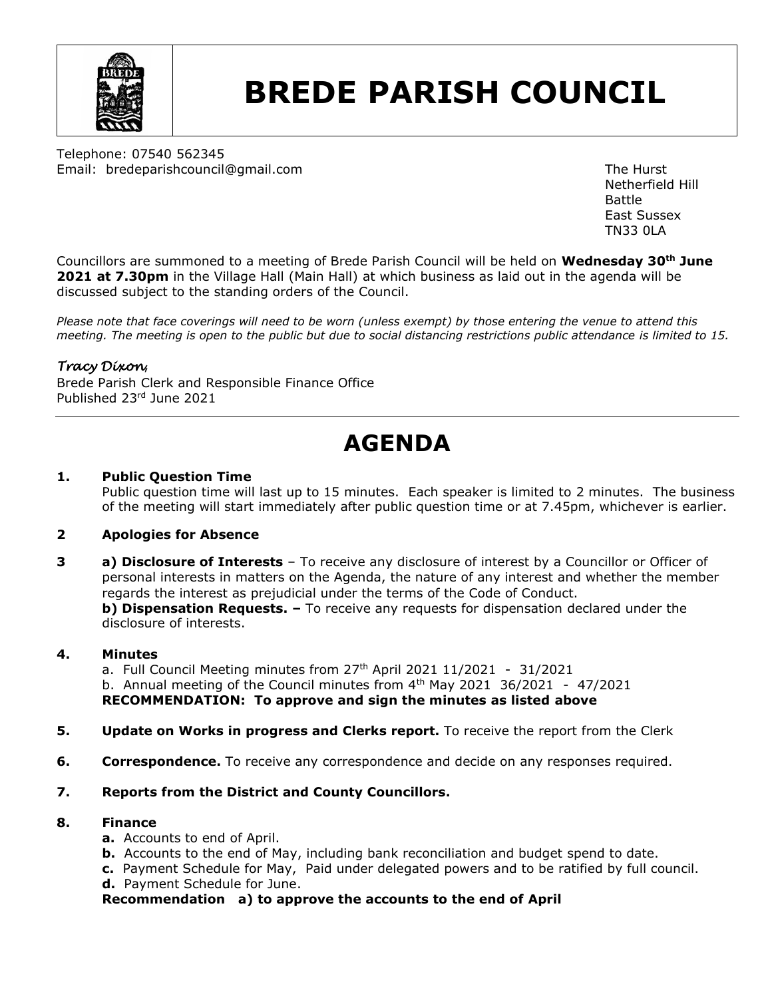

# **BREDE PARISH COUNCIL**

Telephone: 07540 562345 Email: bredeparishcouncil@gmail.com example and the Hurst The Hurst

Netherfield Hill Battle East Sussex TN33 0LA

Councillors are summoned to a meeting of Brede Parish Council will be held on **Wednesday 30th June 2021 at 7.30pm** in the Village Hall (Main Hall) at which business as laid out in the agenda will be discussed subject to the standing orders of the Council.

*Please note that face coverings will need to be worn (unless exempt) by those entering the venue to attend this meeting. The meeting is open to the public but due to social distancing restrictions public attendance is limited to 15.*

#### *Tracy Dixon*,

Brede Parish Clerk and Responsible Finance Office Published 23rd June 2021

### **AGENDA**

#### **1. Public Question Time**

Public question time will last up to 15 minutes. Each speaker is limited to 2 minutes. The business of the meeting will start immediately after public question time or at 7.45pm, whichever is earlier.

#### **2 Apologies for Absence**

**3 a) Disclosure of Interests** – To receive any disclosure of interest by a Councillor or Officer of personal interests in matters on the Agenda, the nature of any interest and whether the member regards the interest as prejudicial under the terms of the Code of Conduct. **b) Dispensation Requests.**  $-$  To receive any requests for dispensation declared under the disclosure of interests.

#### **4. Minutes**

a. Full Council Meeting minutes from  $27<sup>th</sup>$  April 2021  $11/2021 - 31/2021$ b. Annual meeting of the Council minutes from  $4<sup>th</sup>$  May 2021 36/2021 - 47/2021 **RECOMMENDATION: To approve and sign the minutes as listed above**

- **5. Update on Works in progress and Clerks report.** To receive the report from the Clerk
- **6. Correspondence.** To receive any correspondence and decide on any responses required.
- **7. Reports from the District and County Councillors.**

#### **8. Finance**

- **a.** Accounts to end of April.
- **b.** Accounts to the end of May, including bank reconciliation and budget spend to date.
- **c.** Payment Schedule for May, Paid under delegated powers and to be ratified by full council.
	- **d.** Payment Schedule for June.

**Recommendation a) to approve the accounts to the end of April**